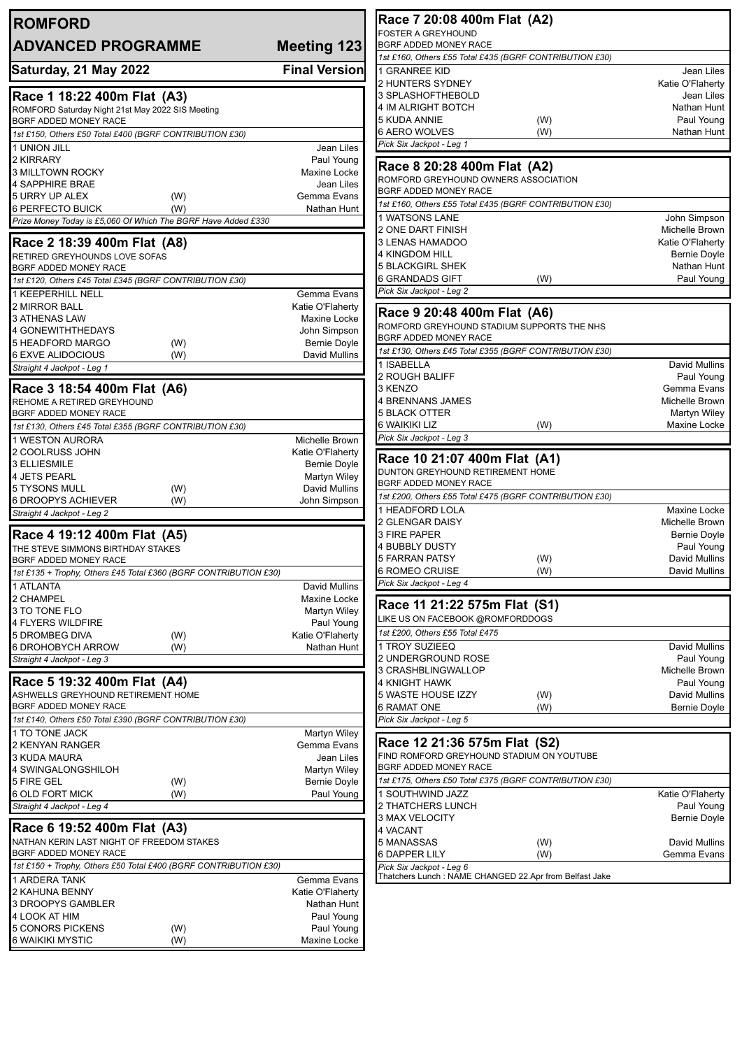| <b>Meeting 123</b>                                                                                                                                                                                                                                 |
|----------------------------------------------------------------------------------------------------------------------------------------------------------------------------------------------------------------------------------------------------|
| <b>Final Version</b>                                                                                                                                                                                                                               |
|                                                                                                                                                                                                                                                    |
|                                                                                                                                                                                                                                                    |
|                                                                                                                                                                                                                                                    |
| Jean Liles                                                                                                                                                                                                                                         |
| Paul Young<br>Maxine Locke                                                                                                                                                                                                                         |
| Jean Liles                                                                                                                                                                                                                                         |
| Gemma Evans                                                                                                                                                                                                                                        |
| Nathan Hunt                                                                                                                                                                                                                                        |
|                                                                                                                                                                                                                                                    |
|                                                                                                                                                                                                                                                    |
|                                                                                                                                                                                                                                                    |
|                                                                                                                                                                                                                                                    |
|                                                                                                                                                                                                                                                    |
| Gemma Evans                                                                                                                                                                                                                                        |
| Katie O'Flaherty<br>Maxine Locke                                                                                                                                                                                                                   |
| John Simpson                                                                                                                                                                                                                                       |
| <b>Bernie Doyle</b>                                                                                                                                                                                                                                |
| David Mullins                                                                                                                                                                                                                                      |
|                                                                                                                                                                                                                                                    |
|                                                                                                                                                                                                                                                    |
|                                                                                                                                                                                                                                                    |
|                                                                                                                                                                                                                                                    |
|                                                                                                                                                                                                                                                    |
| Michelle Brown                                                                                                                                                                                                                                     |
| Katie O'Flaherty                                                                                                                                                                                                                                   |
| <b>Bernie Doyle</b>                                                                                                                                                                                                                                |
| Martyn Wiley                                                                                                                                                                                                                                       |
| David Mullins<br>John Simpson                                                                                                                                                                                                                      |
|                                                                                                                                                                                                                                                    |
|                                                                                                                                                                                                                                                    |
|                                                                                                                                                                                                                                                    |
|                                                                                                                                                                                                                                                    |
|                                                                                                                                                                                                                                                    |
|                                                                                                                                                                                                                                                    |
| 1st £135 + Trophy, Others £45 Total £360 (BGRF CONTRIBUTION £30)                                                                                                                                                                                   |
|                                                                                                                                                                                                                                                    |
|                                                                                                                                                                                                                                                    |
|                                                                                                                                                                                                                                                    |
|                                                                                                                                                                                                                                                    |
|                                                                                                                                                                                                                                                    |
|                                                                                                                                                                                                                                                    |
|                                                                                                                                                                                                                                                    |
|                                                                                                                                                                                                                                                    |
|                                                                                                                                                                                                                                                    |
|                                                                                                                                                                                                                                                    |
|                                                                                                                                                                                                                                                    |
|                                                                                                                                                                                                                                                    |
|                                                                                                                                                                                                                                                    |
|                                                                                                                                                                                                                                                    |
|                                                                                                                                                                                                                                                    |
|                                                                                                                                                                                                                                                    |
|                                                                                                                                                                                                                                                    |
|                                                                                                                                                                                                                                                    |
|                                                                                                                                                                                                                                                    |
| 1st £150 + Trophy, Others £50 Total £400 (BGRF CONTRIBUTION £30)                                                                                                                                                                                   |
|                                                                                                                                                                                                                                                    |
|                                                                                                                                                                                                                                                    |
| David Mullins<br>Maxine Locke<br>Martyn Wiley<br>Paul Young<br>Katie O'Flaherty<br>Nathan Hunt<br>Martyn Wiley<br>Gemma Evans<br>Jean Liles<br>Martyn Wiley<br><b>Bernie Doyle</b><br>Paul Young<br>Gemma Evans<br>Katie O'Flaherty<br>Nathan Hunt |
| Paul Young<br>Paul Young                                                                                                                                                                                                                           |
|                                                                                                                                                                                                                                                    |

| Race 7 20:08 400m Flat (A2)                                                                                                                                                                                                                                                                                                                                                                                                                                                                                                                                                                                                                                     |     |                     |
|-----------------------------------------------------------------------------------------------------------------------------------------------------------------------------------------------------------------------------------------------------------------------------------------------------------------------------------------------------------------------------------------------------------------------------------------------------------------------------------------------------------------------------------------------------------------------------------------------------------------------------------------------------------------|-----|---------------------|
| <b>FOSTER A GREYHOUND</b>                                                                                                                                                                                                                                                                                                                                                                                                                                                                                                                                                                                                                                       |     |                     |
| BGRF ADDED MONEY RACE                                                                                                                                                                                                                                                                                                                                                                                                                                                                                                                                                                                                                                           |     |                     |
| 1st £160, Others £55 Total £435 (BGRF CONTRIBUTION £30)                                                                                                                                                                                                                                                                                                                                                                                                                                                                                                                                                                                                         |     |                     |
| 1 GRANREE KID                                                                                                                                                                                                                                                                                                                                                                                                                                                                                                                                                                                                                                                   |     | Jean Liles          |
| <b>2 HUNTERS SYDNEY</b>                                                                                                                                                                                                                                                                                                                                                                                                                                                                                                                                                                                                                                         |     | Katie O'Flaherty    |
| 3 SPLASHOFTHEBOLD                                                                                                                                                                                                                                                                                                                                                                                                                                                                                                                                                                                                                                               |     | Jean Liles          |
| 4 IM ALRIGHT BOTCH                                                                                                                                                                                                                                                                                                                                                                                                                                                                                                                                                                                                                                              |     | Nathan Hunt         |
| 5 KUDA ANNIE                                                                                                                                                                                                                                                                                                                                                                                                                                                                                                                                                                                                                                                    | (W) | Paul Young          |
| 6 AERO WOLVES                                                                                                                                                                                                                                                                                                                                                                                                                                                                                                                                                                                                                                                   | (W) | Nathan Hunt         |
|                                                                                                                                                                                                                                                                                                                                                                                                                                                                                                                                                                                                                                                                 |     |                     |
| Pick Six Jackpot - Leg 1                                                                                                                                                                                                                                                                                                                                                                                                                                                                                                                                                                                                                                        |     |                     |
| Race 8 20:28 400m Flat (A2)                                                                                                                                                                                                                                                                                                                                                                                                                                                                                                                                                                                                                                     |     |                     |
| ROMFORD GREYHOUND OWNERS ASSOCIATION                                                                                                                                                                                                                                                                                                                                                                                                                                                                                                                                                                                                                            |     |                     |
| BGRF ADDED MONEY RACE                                                                                                                                                                                                                                                                                                                                                                                                                                                                                                                                                                                                                                           |     |                     |
|                                                                                                                                                                                                                                                                                                                                                                                                                                                                                                                                                                                                                                                                 |     |                     |
| 1st £160, Others £55 Total £435 (BGRF CONTRIBUTION £30)                                                                                                                                                                                                                                                                                                                                                                                                                                                                                                                                                                                                         |     |                     |
| 1 WATSONS LANE                                                                                                                                                                                                                                                                                                                                                                                                                                                                                                                                                                                                                                                  |     | John Simpson        |
| 2 ONE DART FINISH                                                                                                                                                                                                                                                                                                                                                                                                                                                                                                                                                                                                                                               |     | Michelle Brown      |
| 3 LENAS HAMADOO                                                                                                                                                                                                                                                                                                                                                                                                                                                                                                                                                                                                                                                 |     | Katie O'Flaherty    |
| 4 KINGDOM HILL                                                                                                                                                                                                                                                                                                                                                                                                                                                                                                                                                                                                                                                  |     | <b>Bernie Doyle</b> |
| <b>5 BLACKGIRL SHEK</b>                                                                                                                                                                                                                                                                                                                                                                                                                                                                                                                                                                                                                                         |     | Nathan Hunt         |
| 6 GRANDADS GIFT                                                                                                                                                                                                                                                                                                                                                                                                                                                                                                                                                                                                                                                 | (W) | Paul Young          |
| Pick Six Jackpot - Leg 2                                                                                                                                                                                                                                                                                                                                                                                                                                                                                                                                                                                                                                        |     |                     |
|                                                                                                                                                                                                                                                                                                                                                                                                                                                                                                                                                                                                                                                                 |     |                     |
| Race 9 20:48 400m Flat (A6)                                                                                                                                                                                                                                                                                                                                                                                                                                                                                                                                                                                                                                     |     |                     |
| ROMFORD GREYHOUND STADIUM SUPPORTS THE NHS                                                                                                                                                                                                                                                                                                                                                                                                                                                                                                                                                                                                                      |     |                     |
| BGRF ADDED MONEY RACE                                                                                                                                                                                                                                                                                                                                                                                                                                                                                                                                                                                                                                           |     |                     |
| 1st £130, Others £45 Total £355 (BGRF CONTRIBUTION £30)                                                                                                                                                                                                                                                                                                                                                                                                                                                                                                                                                                                                         |     |                     |
| 1 ISABELLA                                                                                                                                                                                                                                                                                                                                                                                                                                                                                                                                                                                                                                                      |     | David Mullins       |
| 2 ROUGH BALIFF                                                                                                                                                                                                                                                                                                                                                                                                                                                                                                                                                                                                                                                  |     | Paul Young          |
| 3 KENZO                                                                                                                                                                                                                                                                                                                                                                                                                                                                                                                                                                                                                                                         |     | Gemma Evans         |
| 4 BRENNANS JAMES                                                                                                                                                                                                                                                                                                                                                                                                                                                                                                                                                                                                                                                |     | Michelle Brown      |
| 5 BLACK OTTER                                                                                                                                                                                                                                                                                                                                                                                                                                                                                                                                                                                                                                                   |     |                     |
|                                                                                                                                                                                                                                                                                                                                                                                                                                                                                                                                                                                                                                                                 |     | Martyn Wiley        |
| 6 WAIKIKI LIZ                                                                                                                                                                                                                                                                                                                                                                                                                                                                                                                                                                                                                                                   | (W) | Maxine Locke        |
| Pick Six Jackpot - Leg 3                                                                                                                                                                                                                                                                                                                                                                                                                                                                                                                                                                                                                                        |     |                     |
|                                                                                                                                                                                                                                                                                                                                                                                                                                                                                                                                                                                                                                                                 |     |                     |
|                                                                                                                                                                                                                                                                                                                                                                                                                                                                                                                                                                                                                                                                 |     |                     |
| Race 10 21:07 400m Flat (A1)                                                                                                                                                                                                                                                                                                                                                                                                                                                                                                                                                                                                                                    |     |                     |
| DUNTON GREYHOUND RETIREMENT HOME                                                                                                                                                                                                                                                                                                                                                                                                                                                                                                                                                                                                                                |     |                     |
| BGRF ADDED MONEY RACE                                                                                                                                                                                                                                                                                                                                                                                                                                                                                                                                                                                                                                           |     |                     |
| 1st £200, Others £55 Total £475 (BGRF CONTRIBUTION £30)                                                                                                                                                                                                                                                                                                                                                                                                                                                                                                                                                                                                         |     |                     |
|                                                                                                                                                                                                                                                                                                                                                                                                                                                                                                                                                                                                                                                                 |     | Maxine Locke        |
| 1 HEADFORD LOLA<br>2 GLENGAR DAISY                                                                                                                                                                                                                                                                                                                                                                                                                                                                                                                                                                                                                              |     | Michelle Brown      |
|                                                                                                                                                                                                                                                                                                                                                                                                                                                                                                                                                                                                                                                                 |     | <b>Bernie Doyle</b> |
|                                                                                                                                                                                                                                                                                                                                                                                                                                                                                                                                                                                                                                                                 |     | Paul Young          |
|                                                                                                                                                                                                                                                                                                                                                                                                                                                                                                                                                                                                                                                                 | (W) | David Mullins       |
|                                                                                                                                                                                                                                                                                                                                                                                                                                                                                                                                                                                                                                                                 | (W) | David Mullins       |
|                                                                                                                                                                                                                                                                                                                                                                                                                                                                                                                                                                                                                                                                 |     |                     |
|                                                                                                                                                                                                                                                                                                                                                                                                                                                                                                                                                                                                                                                                 |     |                     |
|                                                                                                                                                                                                                                                                                                                                                                                                                                                                                                                                                                                                                                                                 |     |                     |
|                                                                                                                                                                                                                                                                                                                                                                                                                                                                                                                                                                                                                                                                 |     |                     |
|                                                                                                                                                                                                                                                                                                                                                                                                                                                                                                                                                                                                                                                                 |     |                     |
|                                                                                                                                                                                                                                                                                                                                                                                                                                                                                                                                                                                                                                                                 |     | David Mullins       |
|                                                                                                                                                                                                                                                                                                                                                                                                                                                                                                                                                                                                                                                                 |     |                     |
|                                                                                                                                                                                                                                                                                                                                                                                                                                                                                                                                                                                                                                                                 |     | Paul Young          |
|                                                                                                                                                                                                                                                                                                                                                                                                                                                                                                                                                                                                                                                                 |     | Michelle Brown      |
|                                                                                                                                                                                                                                                                                                                                                                                                                                                                                                                                                                                                                                                                 |     | Paul Young          |
|                                                                                                                                                                                                                                                                                                                                                                                                                                                                                                                                                                                                                                                                 | (W) | David Mullins       |
|                                                                                                                                                                                                                                                                                                                                                                                                                                                                                                                                                                                                                                                                 | (W) | <b>Bernie Doyle</b> |
|                                                                                                                                                                                                                                                                                                                                                                                                                                                                                                                                                                                                                                                                 |     |                     |
|                                                                                                                                                                                                                                                                                                                                                                                                                                                                                                                                                                                                                                                                 |     |                     |
|                                                                                                                                                                                                                                                                                                                                                                                                                                                                                                                                                                                                                                                                 |     |                     |
|                                                                                                                                                                                                                                                                                                                                                                                                                                                                                                                                                                                                                                                                 |     |                     |
|                                                                                                                                                                                                                                                                                                                                                                                                                                                                                                                                                                                                                                                                 |     |                     |
|                                                                                                                                                                                                                                                                                                                                                                                                                                                                                                                                                                                                                                                                 |     |                     |
|                                                                                                                                                                                                                                                                                                                                                                                                                                                                                                                                                                                                                                                                 |     | Katie O'Flaherty    |
|                                                                                                                                                                                                                                                                                                                                                                                                                                                                                                                                                                                                                                                                 |     | Paul Young          |
|                                                                                                                                                                                                                                                                                                                                                                                                                                                                                                                                                                                                                                                                 |     | <b>Bernie Doyle</b> |
|                                                                                                                                                                                                                                                                                                                                                                                                                                                                                                                                                                                                                                                                 |     |                     |
|                                                                                                                                                                                                                                                                                                                                                                                                                                                                                                                                                                                                                                                                 | (W) | David Mullins       |
|                                                                                                                                                                                                                                                                                                                                                                                                                                                                                                                                                                                                                                                                 | (W) | Gemma Evans         |
| 3 FIRE PAPER<br>4 BUBBLY DUSTY<br><b>5 FARRAN PATSY</b><br>6 ROMEO CRUISE<br>Pick Six Jackpot - Leg 4<br>Race 11 21:22 575m Flat (S1)<br>LIKE US ON FACEBOOK @ROMFORDDOGS<br>1st £200, Others £55 Total £475<br>1 TROY SUZIEEQ<br>2 UNDERGROUND ROSE<br>3 CRASHBLINGWALLOP<br>4 KNIGHT HAWK<br>5 WASTE HOUSE IZZY<br>6 RAMAT ONE<br>Pick Six Jackpot - Leg 5<br>Race 12 21:36 575m Flat (S2)<br>FIND ROMFORD GREYHOUND STADIUM ON YOUTUBE<br>BGRF ADDED MONEY RACE<br>1st £175, Others £50 Total £375 (BGRF CONTRIBUTION £30)<br>1 SOUTHWIND JAZZ<br>2 THATCHERS LUNCH<br>3 MAX VELOCITY<br>4 VACANT<br>5 MANASSAS<br>6 DAPPER LILY<br>Pick Six Jackpot - Leg 6 |     |                     |